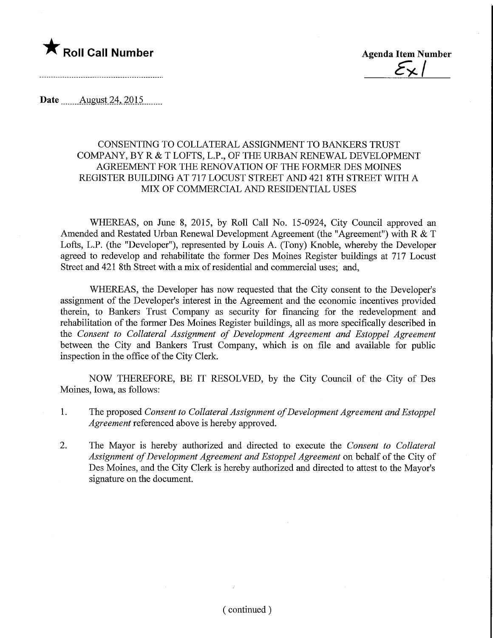

**Agenda Item Number** 

Date ........August.24,.2015.

## CONSENTING TO COLLATERAL ASSIGNMENT TO BANKERS TRUST COMPANY, BY R & T LOFTS, L.P, OF THE URBAN RENEWAL DEVELOPMENT AGREEMENT FOR THE RENOVATION OF THE FORMER DES MOINES REGISTER BUILDING AT 717 LOCUST STREET AND 421 8TH STREET WITH A MIX OF COMMERCIAL AND RESIDENTIAL USES

WHEREAS, on June 8, 2015, by Roll Call No. 15-0924, City Council approved an Amended and Restated Urban Renewal Development Agreement (the "Agreement") with R & T Lofts, L.P. (the "Developer"), represented by Louis A. (Tony) Rnoble, whereby the Developer agreed to redevelop and rehabilitate the former Des Moines Register buildings at 717 Locust Street and 421 8th Street with a mix of residential and commercial uses; and,

WHEREAS, the Developer has now requested that the City consent to the Developer's assignment of the Developer's interest in the Agreement and the economic incentives provided therein, to Bankers Trust Company as security for financing for the redevelopment and rehabilitation of the former Des Moines Register buildings, all as more specifically described in the Consent to Collateral Assignment of Development Agreement and Estoppel Agreement between the City and Bankers Trust Company, which is on file and available for public inspection in the office of the City Clerk.

NOW THEREFORE, BE IT RESOLVED, by the City Council of the City of Des Moines, Iowa, as follows:

- 1. The proposed Consent to Collateral Assignment of Development Agreement and Estoppel Agreement referenced above is hereby approved.
- 2. The Mayor is hereby authorized and directed to execute the Consent to Collateral Assignment of Development Agreement and Estoppel Agreement on behalf of the City of Des Moines, and the City Clerk is hereby authorized and directed to attest to the Mayor's signature on the document.